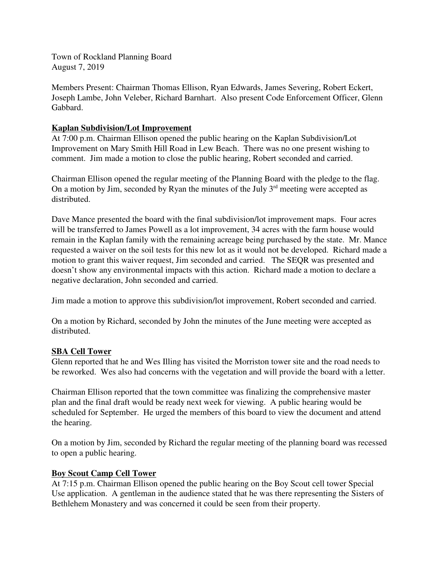Town of Rockland Planning Board August 7, 2019

Members Present: Chairman Thomas Ellison, Ryan Edwards, James Severing, Robert Eckert, Joseph Lambe, John Veleber, Richard Barnhart. Also present Code Enforcement Officer, Glenn Gabbard.

## **Kaplan Subdivision/Lot Improvement**

At 7:00 p.m. Chairman Ellison opened the public hearing on the Kaplan Subdivision/Lot Improvement on Mary Smith Hill Road in Lew Beach. There was no one present wishing to comment. Jim made a motion to close the public hearing, Robert seconded and carried.

Chairman Ellison opened the regular meeting of the Planning Board with the pledge to the flag. On a motion by Jim, seconded by Ryan the minutes of the July  $3<sup>rd</sup>$  meeting were accepted as distributed.

Dave Mance presented the board with the final subdivision/lot improvement maps. Four acres will be transferred to James Powell as a lot improvement, 34 acres with the farm house would remain in the Kaplan family with the remaining acreage being purchased by the state. Mr. Mance requested a waiver on the soil tests for this new lot as it would not be developed. Richard made a motion to grant this waiver request, Jim seconded and carried. The SEQR was presented and doesn't show any environmental impacts with this action. Richard made a motion to declare a negative declaration, John seconded and carried.

Jim made a motion to approve this subdivision/lot improvement, Robert seconded and carried.

On a motion by Richard, seconded by John the minutes of the June meeting were accepted as distributed.

# **SBA Cell Tower**

Glenn reported that he and Wes Illing has visited the Morriston tower site and the road needs to be reworked. Wes also had concerns with the vegetation and will provide the board with a letter.

Chairman Ellison reported that the town committee was finalizing the comprehensive master plan and the final draft would be ready next week for viewing. A public hearing would be scheduled for September. He urged the members of this board to view the document and attend the hearing.

On a motion by Jim, seconded by Richard the regular meeting of the planning board was recessed to open a public hearing.

# **Boy Scout Camp Cell Tower**

At 7:15 p.m. Chairman Ellison opened the public hearing on the Boy Scout cell tower Special Use application. A gentleman in the audience stated that he was there representing the Sisters of Bethlehem Monastery and was concerned it could be seen from their property.